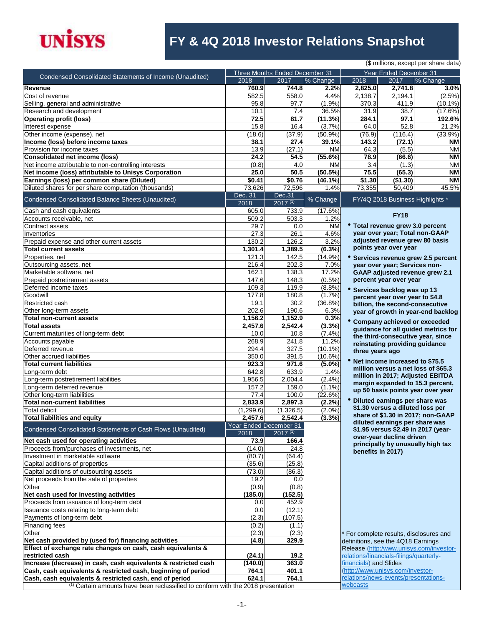

# **FY & 4Q 2018 Investor Relations Snapshot**

| (\$ millions, except per share data)                                                        |                                |                                |            |                                         |                                      |                                         |  |
|---------------------------------------------------------------------------------------------|--------------------------------|--------------------------------|------------|-----------------------------------------|--------------------------------------|-----------------------------------------|--|
|                                                                                             |                                | Three Months Ended December 31 |            |                                         | Year Ended December 31               |                                         |  |
| Condensed Consolidated Statements of Income (Unaudited)                                     | 2018                           | 2017                           | % Change   | 2018                                    | 2017                                 | % Change                                |  |
| <b>Revenue</b>                                                                              | 760.9                          | 744.8                          | 2.2%       | 2,825.0                                 | 2,741.8                              | 3.0%                                    |  |
| Cost of revenue                                                                             | 582.5                          | 558.0                          | 4.4%       | 2,138.7                                 | 2,194.1                              | (2.5%)                                  |  |
| Selling, general and administrative                                                         | 95.8                           | 97.7                           | (1.9%      | 370.3                                   | 411.9                                | $(10.1\%)$                              |  |
| Research and development                                                                    | 10.1                           | 7.4                            | 36.5%      | 31.9                                    | 38.7                                 | (17.6%)                                 |  |
|                                                                                             |                                |                                |            |                                         |                                      |                                         |  |
| <b>Operating profit (loss)</b>                                                              | 72.5                           | 81.7                           | (11.3%)    | 284.1                                   | 97.1                                 | 192.6%                                  |  |
| Interest expense                                                                            | 15.8                           | 16.4                           | (3.7%)     | 64.0                                    | 52.8                                 | 21.2%                                   |  |
| Other income (expense), net                                                                 | (18.6)                         | (37.9)                         | $(50.9\%)$ | (76.9)                                  | (116.4)                              | $(33.9\%)$                              |  |
| Income (loss) before income taxes                                                           | 38.1                           | 27.4                           | 39.1%      | 143.2                                   | (72.1)                               | ΝM                                      |  |
| Provision for income taxes                                                                  | 13.9                           | (27.1)                         | <b>NM</b>  | 64.3                                    | (5.5)                                | <b>NM</b>                               |  |
| Consolidated net income (loss)                                                              | 24.2                           | 54.5                           | (55.6%)    | 78.9                                    | (66.6)                               | ΝM                                      |  |
| Net income attributable to non-controlling interests                                        | (0.8)                          | 4.0                            | <b>NM</b>  | 3.4                                     | (1.3)                                | <b>NM</b>                               |  |
| Net income (loss) attributable to Unisys Corporation                                        | 25.0                           | 50.5                           | (50.5%)    | 75.5                                    | (65.3)                               | <b>NM</b>                               |  |
| Earnings (loss) per common share (Diluted)                                                  | \$0.41                         | \$0.76                         | $(46.1\%)$ | \$1.30                                  | (\$1.30)                             | ΝM                                      |  |
| Diluted shares for per share computation (thousands)                                        | 73,626                         | 72,596                         | 1.4%       | 73,355                                  | 50,409                               | 45.5%                                   |  |
|                                                                                             |                                |                                |            |                                         |                                      |                                         |  |
| Condensed Consolidated Balance Sheets (Unaudited)                                           | Dec. 31<br>2018                | Dec.31<br>$2017^{(1)}$         | % Change   |                                         | FY/4Q 2018 Business Highlights *     |                                         |  |
| Cash and cash equivalents                                                                   | 605.0                          | 733.9                          | (17.6%)    |                                         |                                      |                                         |  |
| Accounts receivable, net                                                                    | 509.2                          | 503.3                          | 1.2%       |                                         | <b>FY18</b>                          |                                         |  |
| Contract assets                                                                             | 29.7                           | 0.0                            | <b>NM</b>  |                                         | • Total revenue grew 3.0 percent     |                                         |  |
| Inventories                                                                                 | 27.3                           | 26.1                           | 4.6%       |                                         | year over year; Total non-GAAP       |                                         |  |
| Prepaid expense and other current assets                                                    | 130.2                          | 126.2                          | 3.2%       |                                         | adjusted revenue grew 80 basis       |                                         |  |
|                                                                                             |                                |                                |            |                                         | points year over year                |                                         |  |
| <b>Total current assets</b>                                                                 | 1,301.4                        | 1,389.5                        | (6.3%)     |                                         |                                      |                                         |  |
| Properties, net                                                                             | 121.3                          | 142.5                          | $(14.9\%)$ |                                         |                                      | * Services revenue grew 2.5 percent     |  |
| Outsourcing assets, net                                                                     | 216.4                          | 202.3                          | 7.0%       |                                         | year over year; Services non-        |                                         |  |
| Marketable software, net                                                                    | 162.1                          | 138.3                          | 17.2%      |                                         |                                      | <b>GAAP adjusted revenue grew 2.1</b>   |  |
| Prepaid postretirement assets                                                               | 147.6                          | 148.3                          | $(0.5\%)$  |                                         | percent year over year               |                                         |  |
| Deferred income taxes                                                                       | 109.3                          | 119.9                          | (8.8%)     |                                         | * Services backlog was up 13         |                                         |  |
| Goodwill                                                                                    | 177.8                          | 180.8                          | (1.7%)     |                                         | percent year over year to \$4.8      |                                         |  |
| Restricted cash                                                                             | 19.1                           | 30.2                           | $(36.8\%)$ |                                         |                                      |                                         |  |
| Other long-term assets                                                                      | 202.6                          | 190.6                          | 6.3%       |                                         | billion, the second-consecutive      |                                         |  |
| <b>Total non-current assets</b>                                                             | 1,156.2                        | 1,152.9                        |            |                                         |                                      | year of growth in year-end backlog      |  |
|                                                                                             |                                |                                | 0.3%       |                                         | Company achieved or exceeded         |                                         |  |
| <b>Total assets</b>                                                                         | 2,457.6                        | 2,542.4                        | (3.3%)     |                                         |                                      | guidance for all guided metrics for     |  |
| Current maturities of long-term debt                                                        | 10.0                           | 10.8                           | $(7.4\%)$  |                                         |                                      | the third-consecutive year, since       |  |
| Accounts payable                                                                            | 268.9                          | 241.8                          | 11.2%      |                                         | reinstating providing guidance       |                                         |  |
| Deferred revenue                                                                            | 294.4                          | 327.5                          | $(10.1\%)$ | three years ago                         |                                      |                                         |  |
| Other accrued liabilities                                                                   | 350.0                          | 391.5                          | $(10.6\%)$ |                                         |                                      |                                         |  |
| <b>Total current liabilities</b>                                                            | 923.3                          | 971.6                          | $(5.0\%)$  |                                         | Net income increased to \$75.5       |                                         |  |
| Long-term debt                                                                              | 642.8                          | 633.9                          | 1.4%       |                                         |                                      | million versus a net loss of \$65.3     |  |
| Long-term postretirement liabilities                                                        | 1,956.5                        | 2,004.4                        | (2.4%)     |                                         |                                      | million in 2017; Adjusted EBITDA        |  |
| Long-term deferred revenue                                                                  | 157.2                          | 159.0                          | $(1.1\%)$  |                                         |                                      | margin expanded to 15.3 percent,        |  |
| Other long-term liabilities                                                                 | 77.4                           | 100.0                          | (22.6%)    |                                         |                                      | up 50 basis points year over year       |  |
|                                                                                             |                                |                                |            |                                         | Diluted earnings per share was       |                                         |  |
| <b>Total non-current liabilities</b>                                                        | 2,833.9                        | 2,897.3                        | (2.2%)     |                                         | \$1.30 versus a diluted loss per     |                                         |  |
| <b>Total deficit</b>                                                                        | (1,299.6)                      | (1,326.5)                      | $(2.0\%)$  |                                         |                                      | share of \$1.30 in 2017; non-GAAP       |  |
| Total liabilities and equity                                                                | 2,457.6                        | 2,542.4                        | (3.3%)     |                                         | diluted earnings per share was       |                                         |  |
| Condensed Consolidated Statements of Cash Flows (Unaudited)                                 | Year Ended December 31<br>2018 | $2017^{(1)}$                   |            |                                         |                                      | \$1.95 versus \$2.49 in 2017 (year-     |  |
|                                                                                             | 73.9                           |                                |            |                                         | over-year decline driven             |                                         |  |
| Net cash used for operating activities                                                      |                                | 166.4                          |            |                                         |                                      | principally by unusually high tax       |  |
| Proceeds from/purchases of investments, net                                                 | (14.0)                         | 24.8                           |            |                                         | benefits in 2017)                    |                                         |  |
| Investment in marketable software                                                           | (80.7)                         | (64.4)                         |            |                                         |                                      |                                         |  |
| Capital additions of properties                                                             | (35.6)                         | (25.8)                         |            |                                         |                                      |                                         |  |
| Capital additions of outsourcing assets                                                     | (73.0)                         | (86.3)                         |            |                                         |                                      |                                         |  |
| Net proceeds from the sale of properties                                                    | 19.2                           | 0.0                            |            |                                         |                                      |                                         |  |
| Other                                                                                       | (0.9)                          | (0.8)                          |            |                                         |                                      |                                         |  |
| Net cash used for investing activities                                                      | (185.0)                        | (152.5)                        |            |                                         |                                      |                                         |  |
| Proceeds from issuance of long-term debt                                                    | 0.0                            | 452.9                          |            |                                         |                                      |                                         |  |
| Issuance costs relating to long-term debt                                                   | 0.0                            | (12.1)                         |            |                                         |                                      |                                         |  |
| Payments of long-term debt                                                                  | (2.3)                          | (107.5)                        |            |                                         |                                      |                                         |  |
|                                                                                             |                                |                                |            |                                         |                                      |                                         |  |
| Financing fees                                                                              | (0.2)                          | (1.1)                          |            |                                         |                                      |                                         |  |
| Other                                                                                       | (2.3)                          | (2.3)                          |            |                                         |                                      | For complete results, disclosures and   |  |
| Net cash provided by (used for) financing activities                                        | (4.8)                          | 329.9                          |            | definitions, see the 4Q18 Earnings      |                                      |                                         |  |
| Effect of exchange rate changes on cash, cash equivalents &                                 |                                |                                |            |                                         |                                      | Release (http:/www.unisys.com/investor- |  |
| restricted cash                                                                             | (24.1)                         | 19.2                           |            | relations/financials-filings/quarterly- |                                      |                                         |  |
| Increase (decrease) in cash, cash equivalents & restricted cash                             | (140.0)                        | 363.0                          |            | financials) and Slides                  |                                      |                                         |  |
| Cash, cash equivalents & restricted cash, beginning of period                               | 764.1                          | 401.1                          |            |                                         | (http://www.unisys.com/investor-     |                                         |  |
| Cash, cash equivalents & restricted cash, end of period                                     | 624.1                          | 764.1                          |            |                                         | relations/news-events/presentations- |                                         |  |
| <sup>(1)</sup> Certain amounts have been reclassified to conform with the 2018 presentation |                                |                                |            | webcasts                                |                                      |                                         |  |
|                                                                                             |                                |                                |            |                                         |                                      |                                         |  |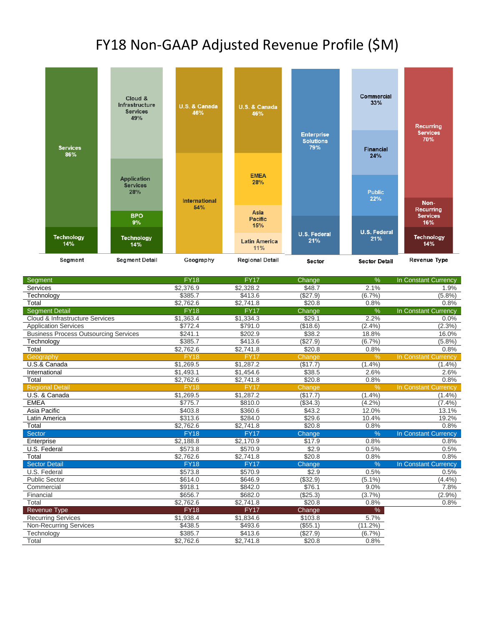## FY18 Non-GAAP Adjusted Revenue Profile (\$M)



| <b>Segment</b>                               | <b>FY18</b> | <b>FY17</b> | Change   | %             | In Constant Currency |
|----------------------------------------------|-------------|-------------|----------|---------------|----------------------|
| Services                                     | \$2,376.9   | \$2,328.2   | \$48.7   | 2.1%          | 1.9%                 |
| Technology                                   | \$385.7     | \$413.6     | (\$27.9) | (6.7%)        | $(5.8\%)$            |
| Total                                        | \$2,762.6   | \$2,741.8   | \$20.8   | 0.8%          | 0.8%                 |
| <b>Segment Detail</b>                        | <b>FY18</b> | FY17        | Change   | %             | In Constant Currency |
| Cloud & Infrastructure Services              | \$1,363.4   | \$1,334.3   | \$29.1   | 2.2%          | 0.0%                 |
| <b>Application Services</b>                  | \$772.4     | \$791.0     | (\$18.6) | (2.4%)        | $(2.3\%)$            |
| <b>Business Process Outsourcing Services</b> | \$241.1     | \$202.9     | \$38.2   | 18.8%         | 16.0%                |
| Technology                                   | \$385.7     | \$413.6     | (\$27.9) | (6.7%)        | (5.8%)               |
| Total                                        | \$2,762.6   | \$2,741.8   | \$20.8   | 0.8%          | 0.8%                 |
| Geography                                    | <b>FY18</b> | <b>FY17</b> | Change   | $\frac{9}{6}$ | In Constant Currency |
| U.S.& Canada                                 | \$1,269.5   | \$1,287.2   | (\$17.7) | (1.4%)        | $(1.4\%)$            |
| International                                | \$1,493.1   | \$1,454.6   | \$38.5   | 2.6%          | 2.6%                 |
| Total                                        | \$2,762.6   | \$2,741.8   | \$20.8   | 0.8%          | 0.8%                 |
| <b>Regional Detail</b>                       | <b>FY18</b> | <b>FY17</b> | Change   | $\frac{9}{6}$ | In Constant Currency |
| U.S. & Canada                                | \$1,269.5   | \$1,287.2   | (\$17.7) | (1.4%         | (1.4%)               |
| <b>EMEA</b>                                  | \$775.7     | \$810.0     | (\$34.3) | (4.2%)        | $(7.4\%)$            |
| Asia Pacific                                 | \$403.8     | \$360.6     | \$43.2   | 12.0%         | 13.1%                |
| Latin America                                | \$313.6     | \$284.0     | \$29.6   | 10.4%         | 19.2%                |
| Total                                        | \$2,762.6   | \$2,741.8   | \$20.8   | 0.8%          | 0.8%                 |
| Sector                                       | <b>FY18</b> | <b>FY17</b> | Change   | %             | In Constant Currency |
| Enterprise                                   | \$2,188.8   | \$2,170.9   | \$17.9   | 0.8%          | 0.8%                 |
| U.S. Federal                                 | \$573.8     | \$570.9     | \$2.9    | 0.5%          | 0.5%                 |
| Total                                        | \$2,762.6   | \$2,741.8   | \$20.8   | 0.8%          | 0.8%                 |
| <b>Sector Detail</b>                         | <b>FY18</b> | <b>FY17</b> | Change   | %             | In Constant Currency |
| U.S. Federal                                 | \$573.8     | \$570.9     | \$2.9    | 0.5%          | 0.5%                 |
| <b>Public Sector</b>                         | \$614.0     | \$646.9     | (\$32.9) | $(5.1\%)$     | (4.4%)               |
| Commercial                                   | \$918.1     | \$842.0     | \$76.1   | 9.0%          | 7.8%                 |
| Financial                                    | \$656.7     | \$682.0     | (\$25.3) | (3.7%)        | $(2.9\%)$            |
| Total                                        | \$2,762.6   | \$2,741.8   | \$20.8   | 0.8%          | 0.8%                 |
| <b>Revenue Type</b>                          | <b>FY18</b> | <b>FY17</b> | Change   | $\%$          |                      |
| <b>Recurring Services</b>                    | \$1,938.4   | \$1,834.6   | \$103.8  | 5.7%          |                      |
| <b>Non-Recurring Services</b>                | \$438.5     | \$493.6     | (\$55.1) | (11.2%)       |                      |
| Technology                                   | \$385.7     | \$413.6     | (\$27.9) | (6.7%)        |                      |
| Total                                        | \$2,762.6   | \$2,741.8   | \$20.8   | 0.8%          |                      |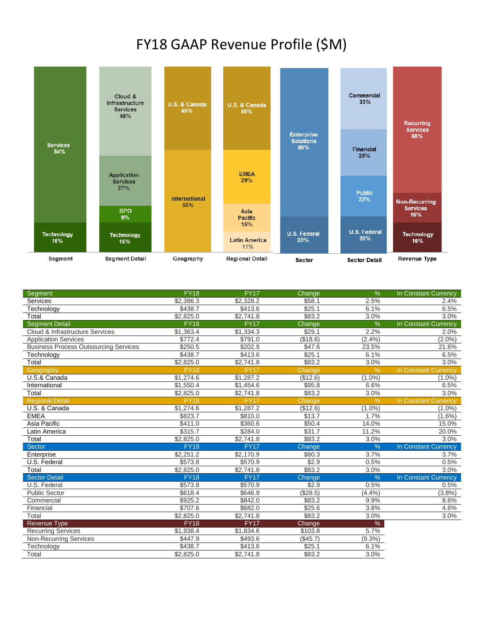## FY18 GAAP Revenue Profile (\$M)



| Segment                                      | <b>FY18</b> | <b>FY17</b> | Change   | %             | In Constant Currency        |
|----------------------------------------------|-------------|-------------|----------|---------------|-----------------------------|
| Services                                     | \$2,386.3   | \$2,328.2   | \$58.1   | 2.5%          | 2.4%                        |
| Technology                                   | \$438.7     | \$413.6     | \$25.1   | 6.1%          | 6.5%                        |
| Total                                        | \$2.825.0   | \$2,741.8   | \$83.2   | 3.0%          | 3.0%                        |
| <b>Segment Detail</b>                        | <b>FY18</b> | <b>FY17</b> | Change   | $\%$          | In Constant Currency        |
| Cloud & Infrastructure Services              | \$1,363.4   | \$1,334.3   | \$29.1   | 2.2%          | 2.0%                        |
| <b>Application Services</b>                  | \$772.4     | \$791.0     | (\$18.6) | (2.4%         | $(2.0\%)$                   |
| <b>Business Process Outsourcing Services</b> | \$250.5     | \$202.9     | \$47.6   | 23.5%         | 21.6%                       |
| Technology                                   | \$438.7     | \$413.6     | \$25.1   | 6.1%          | 6.5%                        |
| Total                                        | \$2,825.0   | \$2,741.8   | \$83.2   | 3.0%          | 3.0%                        |
| Geography                                    | <b>FY18</b> | <b>FY17</b> | Change   | %             | <b>In Constant Currency</b> |
| U.S.& Canada                                 | \$1.274.6   | \$1,287.2   | (\$12.6) | $(1.0\%)$     | $(1.0\%)$                   |
| International                                | \$1,550.4   | \$1,454.6   | \$95.8   | 6.6%          | 6.5%                        |
| Total                                        | \$2,825.0   | \$2,741.8   | \$83.2   | 3.0%          | 3.0%                        |
| <b>Regional Detail</b>                       | <b>FY18</b> | <b>FY17</b> | Change   | $\frac{9}{6}$ | In Constant Currency        |
| U.S. & Canada                                | \$1,274.6   | \$1,287.2   | (\$12.6) | $(1.0\%)$     | $(1.0\%)$                   |
| <b>EMEA</b>                                  | \$823.7     | \$810.0     | \$13.7   | 1.7%          | $(1.6\%)$                   |
| Asia Pacific                                 | \$411.0     | \$360.6     | \$50.4   | 14.0%         | 15.0%                       |
| Latin America                                | \$315.7     | \$284.0     | \$31.7   | 11.2%         | 20.0%                       |
| Total                                        | \$2,825.0   | \$2,741.8   | \$83.2   | 3.0%          | 3.0%                        |
| Sector                                       | <b>FY18</b> | <b>FY17</b> | Change   | %             | In Constant Currency        |
| Enterprise                                   | \$2,251.2   | \$2,170.9   | \$80.3   | 3.7%          | 3.7%                        |
| U.S. Federal                                 | \$573.8     | \$570.9     | \$2.9    | 0.5%          | 0.5%                        |
| Total                                        | \$2,825.0   | \$2,741.8   | \$83.2   | 3.0%          | 3.0%                        |
| <b>Sector Detail</b>                         | <b>FY18</b> | <b>FY17</b> | Change   | %             | In Constant Currency        |
| U.S. Federal                                 | \$573.8     | \$570.9     | \$2.9    | 0.5%          | 0.5%                        |
| <b>Public Sector</b>                         | \$618.4     | \$646.9     | (\$28.5) | (4.4%         | (3.8%)                      |
| Commercial                                   | \$925.2     | \$842.0     | \$83.2   | 9.9%          | 8.6%                        |
| Financial                                    | \$707.6     | \$682.0     | \$25.6   | 3.8%          | 4.6%                        |
| Total                                        | \$2,825.0   | \$2,741.8   | \$83.2   | 3.0%          | 3.0%                        |
| Revenue Type                                 | <b>FY18</b> | <b>FY17</b> | Change   | $\%$          |                             |
| <b>Recurring Services</b>                    | \$1,938.4   | \$1,834.6   | \$103.8  | 5.7%          |                             |
| <b>Non-Recurring Services</b>                | \$447.9     | \$493.6     | (\$45.7) | $(9.3\%)$     |                             |
| Technology                                   | \$438.7     | \$413.6     | \$25.1   | 6.1%          |                             |
| Total                                        | \$2,825.0   | \$2,741.8   | \$83.2   | 3.0%          |                             |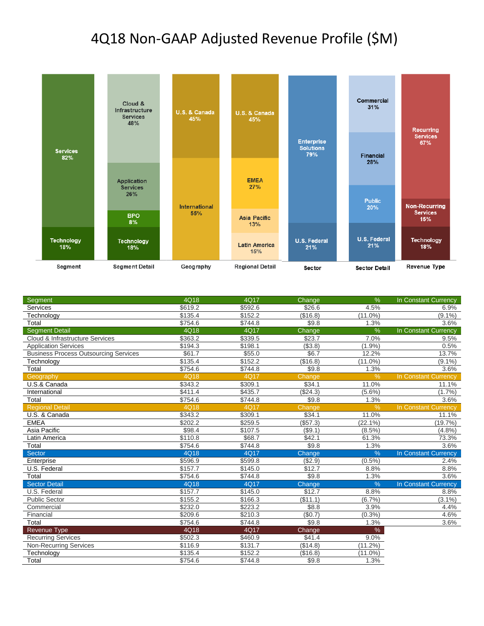## 4Q18 Non-GAAP Adjusted Revenue Profile (\$M)



| Segment                                      | 4Q18                | 4Q17    | Change     | $\%$          | In Constant Currency        |
|----------------------------------------------|---------------------|---------|------------|---------------|-----------------------------|
| Services                                     | \$619.2             | \$592.6 | \$26.6     | 4.5%          | 6.9%                        |
| Technology                                   | \$135.4             | \$152.2 | (\$16.8)   | $(11.0\%)$    | $(9.1\%)$                   |
| Total                                        | \$754.6             | \$744.8 | \$9.8      | 1.3%          | 3.6%                        |
| <b>Segment Detail</b>                        | 4Q18                | 4Q17    | Change     | $\frac{9}{6}$ | In Constant Currency        |
| Cloud & Infrastructure Services              | \$363.2             | \$339.5 | \$23.7     | 7.0%          | 9.5%                        |
| <b>Application Services</b>                  | \$194.3             | \$198.1 | (\$3.8)    | (1.9%         | 0.5%                        |
| <b>Business Process Outsourcing Services</b> | \$61.7              | \$55.0  | \$6.7      | 12.2%         | 13.7%                       |
| Technology                                   | \$135.4             | \$152.2 | (\$16.8)   | $(11.0\%)$    | $(9.1\%)$                   |
| Total                                        | \$754.6             | \$744.8 | \$9.8      | 1.3%          | 3.6%                        |
| Geography                                    | 4Q18                | 4Q17    | Change     | $\%$          | In Constant Currency        |
| U.S.& Canada                                 | \$343.2             | \$309.1 | \$34.1     | 11.0%         | 11.1%                       |
| International                                | \$411.4             | \$435.7 | (\$24.3)   | $(5.6\%)$     | $(1.7\%)$                   |
| Total                                        | \$754.6             | \$744.8 | \$9.8      | 1.3%          | 3.6%                        |
| <b>Regional Detail</b>                       | 4Q18                | 4Q17    | Change     | %             | <b>In Constant Currency</b> |
| U.S. & Canada                                | \$343.2             | \$309.1 | \$34.1     | 11.0%         | 11.1%                       |
| <b>EMEA</b>                                  | \$202.2             | \$259.5 | (\$57.3)   | (22.1%)       | (19.7%)                     |
| Asia Pacific                                 | \$98.4              | \$107.5 | $($ \$9.1) | $(8.5\%)$     | (4.8%)                      |
| Latin America                                | \$110.8             | \$68.7  | \$42.1     | 61.3%         | 73.3%                       |
| Total                                        | \$754.6             | \$744.8 | \$9.8      | 1.3%          | 3.6%                        |
| <b>Sector</b>                                | 4Q18                | 4Q17    | Change     | %             | <b>In Constant Currency</b> |
| Enterprise                                   | \$596.9             | \$599.8 | ( \$2.9)   | $(0.5\%)$     | 2.4%                        |
| U.S. Federal                                 | \$157.7             | \$145.0 | \$12.7     | 8.8%          | 8.8%                        |
| Total                                        | $\overline{$}754.6$ | \$744.8 | \$9.8      | 1.3%          | 3.6%                        |
| <b>Sector Detail</b>                         | 4Q18                | 4Q17    | Change     | $\frac{0}{0}$ | In Constant Currency        |
| U.S. Federal                                 | \$157.7             | \$145.0 | \$12.7     | 8.8%          | 8.8%                        |
| <b>Public Sector</b>                         | \$155.2             | \$166.3 | (\$11.1)   | (6.7%         | $(3.1\%)$                   |
| Commercial                                   | \$232.0             | \$223.2 | \$8.8      | 3.9%          | 4.4%                        |
| Financial                                    | \$209.6             | \$210.3 | (\$0.7)    | (0.3%)        | 4.6%                        |
| Total                                        | \$754.6             | \$744.8 | \$9.8      | 1.3%          | 3.6%                        |
| <b>Revenue Type</b>                          | 4Q18                | 4Q17    | Change     | $\%$          |                             |
| <b>Recurring Services</b>                    | \$502.3             | \$460.9 | \$41.4     | 9.0%          |                             |
| <b>Non-Recurring Services</b>                | \$116.9             | \$131.7 | (\$14.8)   | $(11.2\%)$    |                             |
| Technology                                   | \$135.4             | \$152.2 | (\$16.8)   | $(11.0\%)$    |                             |
| Total                                        | \$754.6             | \$744.8 | \$9.8      | 1.3%          |                             |